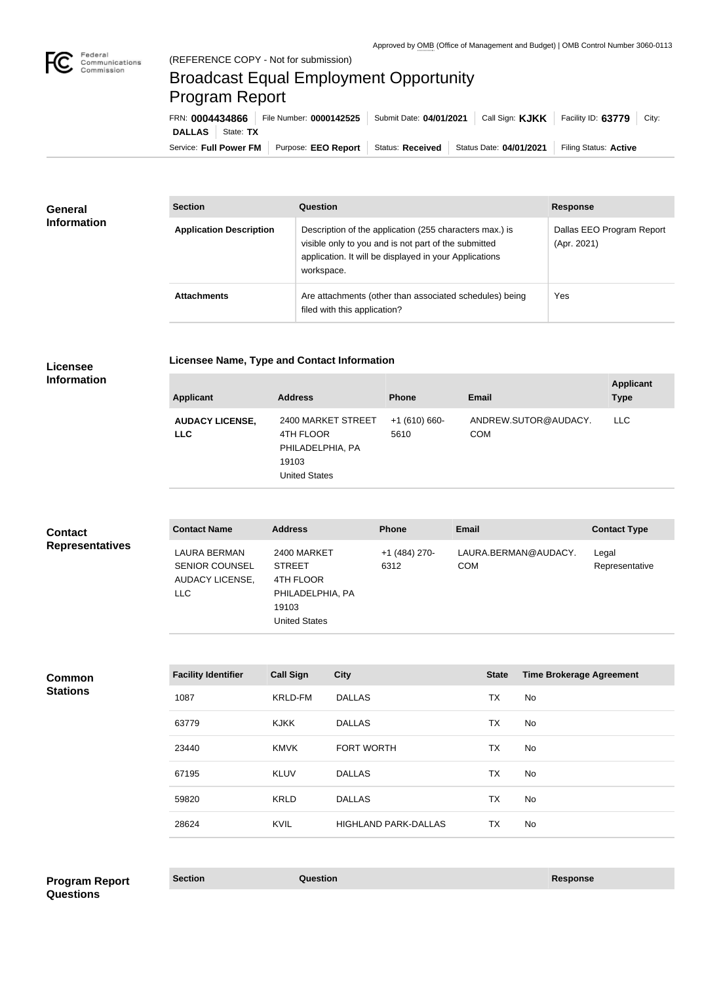

## Broadcast Equal Employment Opportunity Program Report

| FRN: 0004434866            | File Number: 0000142525 | Submit Date: 04/01/2021 | $\vert$ Call Sign: <b>KJKK</b> $\vert$ | Facility ID: $63779$ City: |
|----------------------------|-------------------------|-------------------------|----------------------------------------|----------------------------|
| <b>DALLAS</b><br>State: TX |                         |                         |                                        |                            |
| Service: Full Power FM     | Purpose: EEO Report     | Status: Received        | Status Date: 04/01/2021                | Filing Status: Active      |

| <b>General</b><br><b>Information</b> | <b>Section</b>                 | Question                                                                                                                                                                                | <b>Response</b>                          |
|--------------------------------------|--------------------------------|-----------------------------------------------------------------------------------------------------------------------------------------------------------------------------------------|------------------------------------------|
|                                      | <b>Application Description</b> | Description of the application (255 characters max.) is<br>visible only to you and is not part of the submitted<br>application. It will be displayed in your Applications<br>workspace. | Dallas EEO Program Report<br>(Apr. 2021) |
|                                      | <b>Attachments</b>             | Are attachments (other than associated schedules) being<br>filed with this application?                                                                                                 | Yes                                      |

**Licensee Info** 

**Licensee Name, Type and Contact Information**

| rmation |                                    |
|---------|------------------------------------|
|         | $\bf{A}$ and $\bf{B}$ and $\bf{A}$ |

| <b>Applicant</b>                     | <b>Address</b>                                                                       | <b>Phone</b>          | <b>Email</b>                       | <b>Applicant</b><br><b>Type</b> |
|--------------------------------------|--------------------------------------------------------------------------------------|-----------------------|------------------------------------|---------------------------------|
| <b>AUDACY LICENSE,</b><br><b>LLC</b> | 2400 MARKET STREET<br>4TH FLOOR<br>PHILADELPHIA, PA<br>19103<br><b>United States</b> | $+1(610)660-$<br>5610 | ANDREW.SUTOR@AUDACY.<br><b>COM</b> | <b>LLC</b>                      |

| <b>Contact</b>         | <b>Contact Name</b>                                                           | <b>Address</b>                                                                                 | <b>Phone</b>          | <b>Email</b>                       | <b>Contact Type</b>     |
|------------------------|-------------------------------------------------------------------------------|------------------------------------------------------------------------------------------------|-----------------------|------------------------------------|-------------------------|
| <b>Representatives</b> | LAURA BERMAN<br><b>SENIOR COUNSEL</b><br><b>AUDACY LICENSE,</b><br><b>LLC</b> | 2400 MARKET<br><b>STREET</b><br>4TH FLOOR<br>PHILADELPHIA, PA<br>19103<br><b>United States</b> | +1 (484) 270-<br>6312 | LAURA.BERMAN@AUDACY.<br><b>COM</b> | Legal<br>Representative |

| <b>Facility Identifier</b> | <b>Call Sign</b> | <b>City</b>                 | <b>State</b> | <b>Time Brokerage Agreement</b> |
|----------------------------|------------------|-----------------------------|--------------|---------------------------------|
| 1087                       | <b>KRLD-FM</b>   | <b>DALLAS</b>               | TX           | No.                             |
| 63779                      | <b>KJKK</b>      | <b>DALLAS</b>               | TX           | No                              |
| 23440                      | <b>KMVK</b>      | <b>FORT WORTH</b>           | TX           | No.                             |
| 67195                      | <b>KLUV</b>      | <b>DALLAS</b>               | TX           | No                              |
| 59820                      | <b>KRLD</b>      | <b>DALLAS</b>               | TX           | No                              |
| 28624                      | <b>KVIL</b>      | <b>HIGHLAND PARK-DALLAS</b> | TX           | No.                             |

**Program Report Section Construction Construction Construction Response Questions**

**Common Stations**